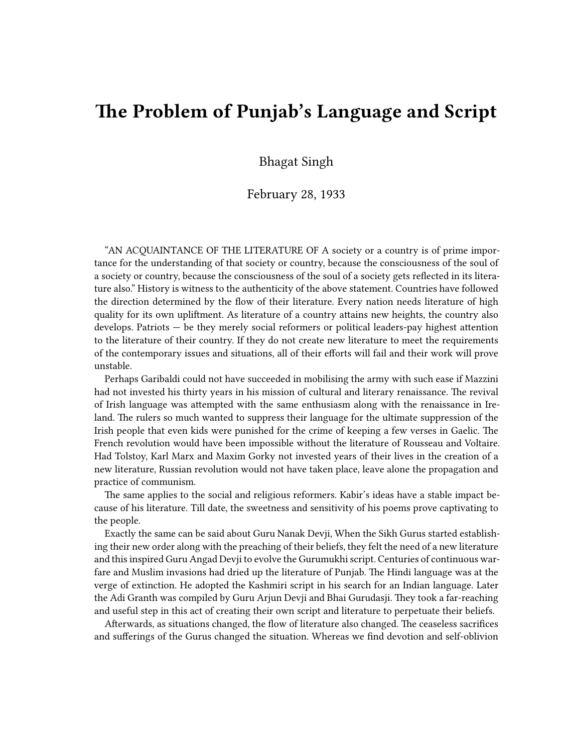# **The Problem of Punjab's Language and Script**

Bhagat Singh

### February 28, 1933

"AN ACQUAINTANCE OF THE LITERATURE OF A society or a country is of prime importance for the understanding of that society or country, because the consciousness of the soul of a society or country, because the consciousness of the soul of a society gets reflected in its literature also." History is witness to the authenticity of the above statement. Countries have followed the direction determined by the flow of their literature. Every nation needs literature of high quality for its own upliftment. As literature of a country attains new heights, the country also develops. Patriots — be they merely social reformers or political leaders-pay highest attention to the literature of their country. If they do not create new literature to meet the requirements of the contemporary issues and situations, all of their efforts will fail and their work will prove unstable.

Perhaps Garibaldi could not have succeeded in mobilising the army with such ease if Mazzini had not invested his thirty years in his mission of cultural and literary renaissance. The revival of Irish language was attempted with the same enthusiasm along with the renaissance in Ireland. The rulers so much wanted to suppress their language for the ultimate suppression of the Irish people that even kids were punished for the crime of keeping a few verses in Gaelic. The French revolution would have been impossible without the literature of Rousseau and Voltaire. Had Tolstoy, Karl Marx and Maxim Gorky not invested years of their lives in the creation of a new literature, Russian revolution would not have taken place, leave alone the propagation and practice of communism.

The same applies to the social and religious reformers. Kabir's ideas have a stable impact because of his literature. Till date, the sweetness and sensitivity of his poems prove captivating to the people.

Exactly the same can be said about Guru Nanak Devji, When the Sikh Gurus started establishing their new order along with the preaching of their beliefs, they felt the need of a new literature and this inspired Guru Angad Devji to evolve the Gurumukhi script. Centuries of continuous warfare and Muslim invasions had dried up the literature of Punjab. The Hindi language was at the verge of extinction. He adopted the Kashmiri script in his search for an Indian language. Later the Adi Granth was compiled by Guru Arjun Devji and Bhai Gurudasji. They took a far-reaching and useful step in this act of creating their own script and literature to perpetuate their beliefs.

Afterwards, as situations changed, the flow of literature also changed. The ceaseless sacrifices and sufferings of the Gurus changed the situation. Whereas we find devotion and self-oblivion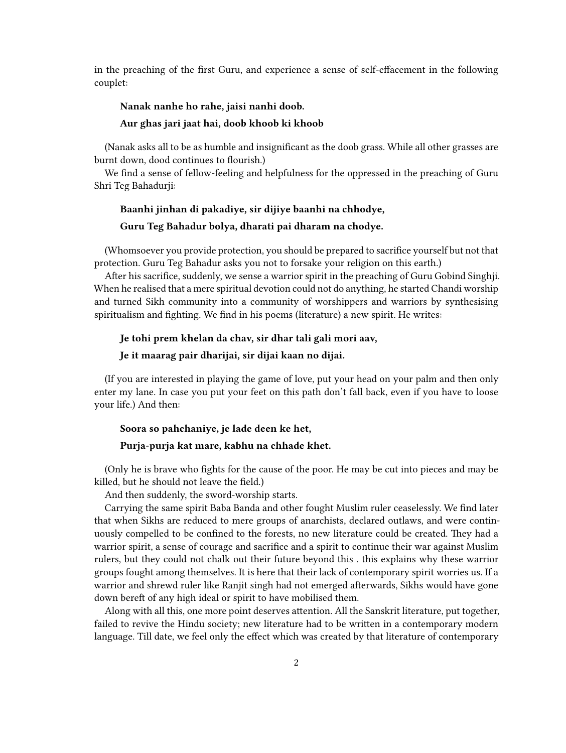in the preaching of the first Guru, and experience a sense of self-effacement in the following couplet:

#### **Nanak nanhe ho rahe, jaisi nanhi doob.**

#### **Aur ghas jari jaat hai, doob khoob ki khoob**

(Nanak asks all to be as humble and insignificant as the doob grass. While all other grasses are burnt down, dood continues to flourish.)

We find a sense of fellow-feeling and helpfulness for the oppressed in the preaching of Guru Shri Teg Bahadurji:

#### **Baanhi jinhan di pakadiye, sir dijiye baanhi na chhodye,**

#### **Guru Teg Bahadur bolya, dharati pai dharam na chodye.**

(Whomsoever you provide protection, you should be prepared to sacrifice yourself but not that protection. Guru Teg Bahadur asks you not to forsake your religion on this earth.)

After his sacrifice, suddenly, we sense a warrior spirit in the preaching of Guru Gobind Singhji. When he realised that a mere spiritual devotion could not do anything, he started Chandi worship and turned Sikh community into a community of worshippers and warriors by synthesising spiritualism and fighting. We find in his poems (literature) a new spirit. He writes:

#### **Je tohi prem khelan da chav, sir dhar tali gali mori aav,**

#### **Je it maarag pair dharijai, sir dijai kaan no dijai.**

(If you are interested in playing the game of love, put your head on your palm and then only enter my lane. In case you put your feet on this path don't fall back, even if you have to loose your life.) And then:

# **Soora so pahchaniye, je lade deen ke het, Purja-purja kat mare, kabhu na chhade khet.**

(Only he is brave who fights for the cause of the poor. He may be cut into pieces and may be killed, but he should not leave the field.)

And then suddenly, the sword-worship starts.

Carrying the same spirit Baba Banda and other fought Muslim ruler ceaselessly. We find later that when Sikhs are reduced to mere groups of anarchists, declared outlaws, and were continuously compelled to be confined to the forests, no new literature could be created. They had a warrior spirit, a sense of courage and sacrifice and a spirit to continue their war against Muslim rulers, but they could not chalk out their future beyond this . this explains why these warrior groups fought among themselves. It is here that their lack of contemporary spirit worries us. If a warrior and shrewd ruler like Ranjit singh had not emerged afterwards, Sikhs would have gone down bereft of any high ideal or spirit to have mobilised them.

Along with all this, one more point deserves attention. All the Sanskrit literature, put together, failed to revive the Hindu society; new literature had to be written in a contemporary modern language. Till date, we feel only the effect which was created by that literature of contemporary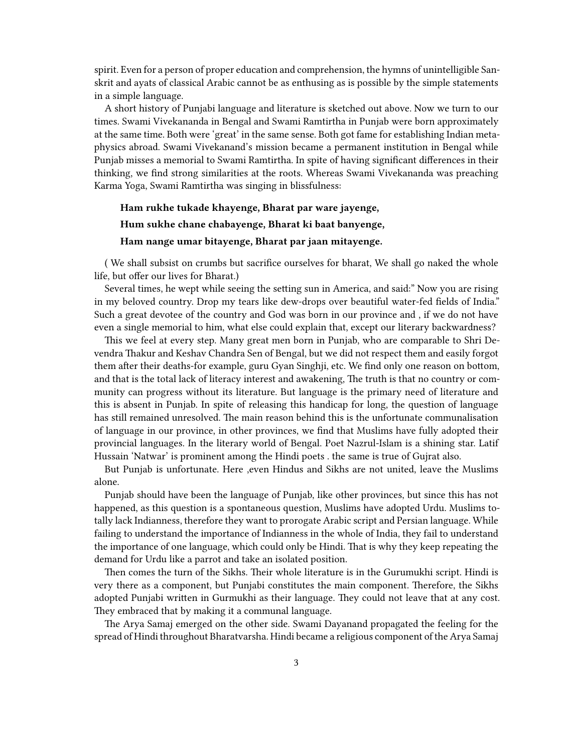spirit. Even for a person of proper education and comprehension, the hymns of unintelligible Sanskrit and ayats of classical Arabic cannot be as enthusing as is possible by the simple statements in a simple language.

A short history of Punjabi language and literature is sketched out above. Now we turn to our times. Swami Vivekananda in Bengal and Swami Ramtirtha in Punjab were born approximately at the same time. Both were 'great' in the same sense. Both got fame for establishing Indian metaphysics abroad. Swami Vivekanand's mission became a permanent institution in Bengal while Punjab misses a memorial to Swami Ramtirtha. In spite of having significant differences in their thinking, we find strong similarities at the roots. Whereas Swami Vivekananda was preaching Karma Yoga, Swami Ramtirtha was singing in blissfulness:

# **Ham rukhe tukade khayenge, Bharat par ware jayenge, Hum sukhe chane chabayenge, Bharat ki baat banyenge, Ham nange umar bitayenge, Bharat par jaan mitayenge.**

( We shall subsist on crumbs but sacrifice ourselves for bharat, We shall go naked the whole life, but offer our lives for Bharat.)

Several times, he wept while seeing the setting sun in America, and said:" Now you are rising in my beloved country. Drop my tears like dew-drops over beautiful water-fed fields of India." Such a great devotee of the country and God was born in our province and , if we do not have even a single memorial to him, what else could explain that, except our literary backwardness?

This we feel at every step. Many great men born in Punjab, who are comparable to Shri Devendra Thakur and Keshav Chandra Sen of Bengal, but we did not respect them and easily forgot them after their deaths-for example, guru Gyan Singhji, etc. We find only one reason on bottom, and that is the total lack of literacy interest and awakening, The truth is that no country or community can progress without its literature. But language is the primary need of literature and this is absent in Punjab. In spite of releasing this handicap for long, the question of language has still remained unresolved. The main reason behind this is the unfortunate communalisation of language in our province, in other provinces, we find that Muslims have fully adopted their provincial languages. In the literary world of Bengal. Poet Nazrul-Islam is a shining star. Latif Hussain 'Natwar' is prominent among the Hindi poets . the same is true of Gujrat also.

But Punjab is unfortunate. Here ,even Hindus and Sikhs are not united, leave the Muslims alone.

Punjab should have been the language of Punjab, like other provinces, but since this has not happened, as this question is a spontaneous question, Muslims have adopted Urdu. Muslims totally lack Indianness, therefore they want to prorogate Arabic script and Persian language. While failing to understand the importance of Indianness in the whole of India, they fail to understand the importance of one language, which could only be Hindi. That is why they keep repeating the demand for Urdu like a parrot and take an isolated position.

Then comes the turn of the Sikhs. Their whole literature is in the Gurumukhi script. Hindi is very there as a component, but Punjabi constitutes the main component. Therefore, the Sikhs adopted Punjabi written in Gurmukhi as their language. They could not leave that at any cost. They embraced that by making it a communal language.

The Arya Samaj emerged on the other side. Swami Dayanand propagated the feeling for the spread of Hindi throughout Bharatvarsha. Hindi became a religious component of the Arya Samaj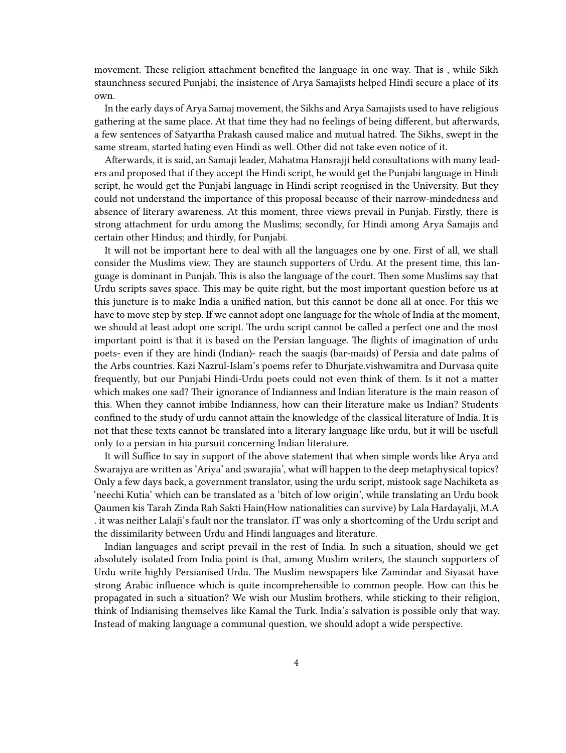movement. These religion attachment benefited the language in one way. That is , while Sikh staunchness secured Punjabi, the insistence of Arya Samajists helped Hindi secure a place of its own.

In the early days of Arya Samaj movement, the Sikhs and Arya Samajists used to have religious gathering at the same place. At that time they had no feelings of being different, but afterwards, a few sentences of Satyartha Prakash caused malice and mutual hatred. The Sikhs, swept in the same stream, started hating even Hindi as well. Other did not take even notice of it.

Afterwards, it is said, an Samaji leader, Mahatma Hansrajji held consultations with many leaders and proposed that if they accept the Hindi script, he would get the Punjabi language in Hindi script, he would get the Punjabi language in Hindi script reognised in the University. But they could not understand the importance of this proposal because of their narrow-mindedness and absence of literary awareness. At this moment, three views prevail in Punjab. Firstly, there is strong attachment for urdu among the Muslims; secondly, for Hindi among Arya Samajis and certain other Hindus; and thirdly, for Punjabi.

It will not be important here to deal with all the languages one by one. First of all, we shall consider the Muslims view. They are staunch supporters of Urdu. At the present time, this language is dominant in Punjab. This is also the language of the court. Then some Muslims say that Urdu scripts saves space. This may be quite right, but the most important question before us at this juncture is to make India a unified nation, but this cannot be done all at once. For this we have to move step by step. If we cannot adopt one language for the whole of India at the moment, we should at least adopt one script. The urdu script cannot be called a perfect one and the most important point is that it is based on the Persian language. The flights of imagination of urdu poets- even if they are hindi (Indian)- reach the saaqis (bar-maids) of Persia and date palms of the Arbs countries. Kazi Nazrul-Islam's poems refer to Dhurjate.vishwamitra and Durvasa quite frequently, but our Punjabi Hindi-Urdu poets could not even think of them. Is it not a matter which makes one sad? Their ignorance of Indianness and Indian literature is the main reason of this. When they cannot imbibe Indianness, how can their literature make us Indian? Students confined to the study of urdu cannot attain the knowledge of the classical literature of India. It is not that these texts cannot be translated into a literary language like urdu, but it will be usefull only to a persian in hia pursuit concerning Indian literature.

It will Suffice to say in support of the above statement that when simple words like Arya and Swarajya are written as 'Ariya' and ;swarajia', what will happen to the deep metaphysical topics? Only a few days back, a government translator, using the urdu script, mistook sage Nachiketa as 'neechi Kutia' which can be translated as a 'bitch of low origin', while translating an Urdu book Qaumen kis Tarah Zinda Rah Sakti Hain(How nationalities can survive) by Lala Hardayalji, M.A . it was neither Lalaji's fault nor the translator. iT was only a shortcoming of the Urdu script and the dissimilarity between Urdu and Hindi languages and literature.

Indian languages and script prevail in the rest of India. In such a situation, should we get absolutely isolated from India point is that, among Muslim writers, the staunch supporters of Urdu write highly Persianised Urdu. The Muslim newspapers like Zamindar and Siyasat have strong Arabic influence which is quite incomprehensible to common people. How can this be propagated in such a situation? We wish our Muslim brothers, while sticking to their religion, think of Indianising themselves like Kamal the Turk. India's salvation is possible only that way. Instead of making language a communal question, we should adopt a wide perspective.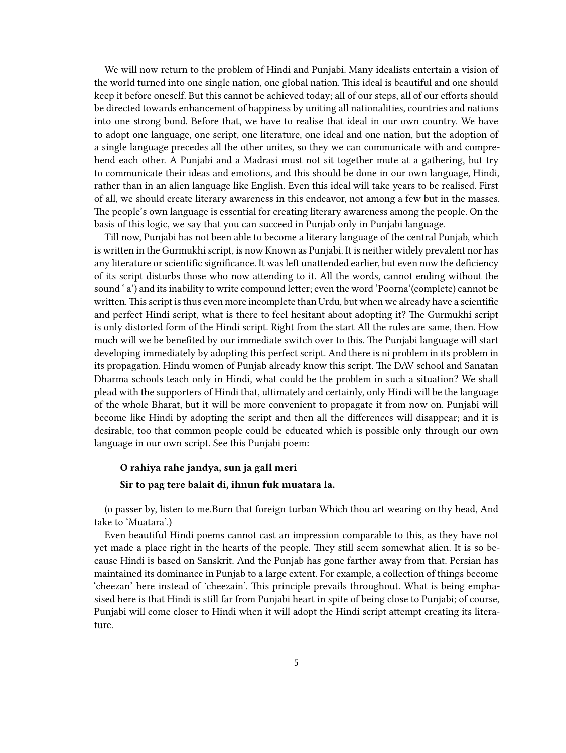We will now return to the problem of Hindi and Punjabi. Many idealists entertain a vision of the world turned into one single nation, one global nation. This ideal is beautiful and one should keep it before oneself. But this cannot be achieved today; all of our steps, all of our efforts should be directed towards enhancement of happiness by uniting all nationalities, countries and nations into one strong bond. Before that, we have to realise that ideal in our own country. We have to adopt one language, one script, one literature, one ideal and one nation, but the adoption of a single language precedes all the other unites, so they we can communicate with and comprehend each other. A Punjabi and a Madrasi must not sit together mute at a gathering, but try to communicate their ideas and emotions, and this should be done in our own language, Hindi, rather than in an alien language like English. Even this ideal will take years to be realised. First of all, we should create literary awareness in this endeavor, not among a few but in the masses. The people's own language is essential for creating literary awareness among the people. On the basis of this logic, we say that you can succeed in Punjab only in Punjabi language.

Till now, Punjabi has not been able to become a literary language of the central Punjab, which is written in the Gurmukhi script, is now Known as Punjabi. It is neither widely prevalent nor has any literature or scientific significance. It was left unattended earlier, but even now the deficiency of its script disturbs those who now attending to it. All the words, cannot ending without the sound ' a') and its inability to write compound letter; even the word 'Poorna'(complete) cannot be written. This script is thus even more incomplete than Urdu, but when we already have a scientific and perfect Hindi script, what is there to feel hesitant about adopting it? The Gurmukhi script is only distorted form of the Hindi script. Right from the start All the rules are same, then. How much will we be benefited by our immediate switch over to this. The Punjabi language will start developing immediately by adopting this perfect script. And there is ni problem in its problem in its propagation. Hindu women of Punjab already know this script. The DAV school and Sanatan Dharma schools teach only in Hindi, what could be the problem in such a situation? We shall plead with the supporters of Hindi that, ultimately and certainly, only Hindi will be the language of the whole Bharat, but it will be more convenient to propagate it from now on. Punjabi will become like Hindi by adopting the script and then all the differences will disappear; and it is desirable, too that common people could be educated which is possible only through our own language in our own script. See this Punjabi poem:

#### **O rahiya rahe jandya, sun ja gall meri**

#### **Sir to pag tere balait di, ihnun fuk muatara la.**

(o passer by, listen to me.Burn that foreign turban Which thou art wearing on thy head, And take to 'Muatara'.)

Even beautiful Hindi poems cannot cast an impression comparable to this, as they have not yet made a place right in the hearts of the people. They still seem somewhat alien. It is so because Hindi is based on Sanskrit. And the Punjab has gone farther away from that. Persian has maintained its dominance in Punjab to a large extent. For example, a collection of things become 'cheezan' here instead of 'cheezain'. This principle prevails throughout. What is being emphasised here is that Hindi is still far from Punjabi heart in spite of being close to Punjabi; of course, Punjabi will come closer to Hindi when it will adopt the Hindi script attempt creating its literature.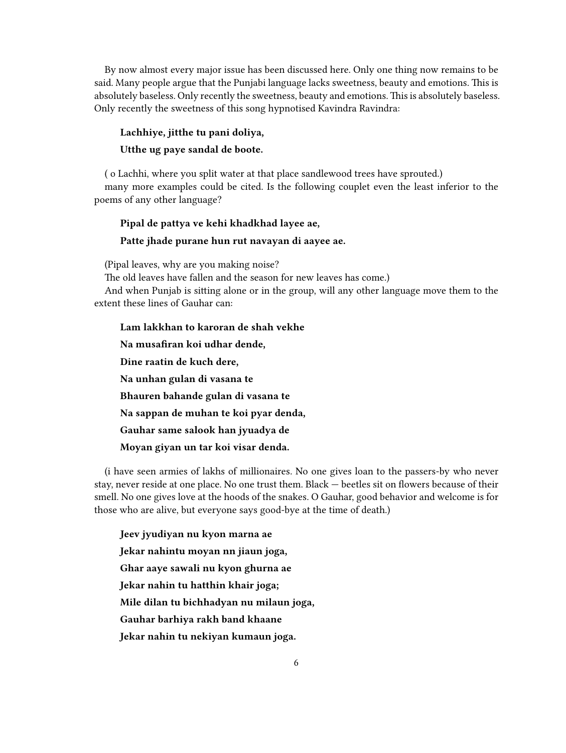By now almost every major issue has been discussed here. Only one thing now remains to be said. Many people argue that the Punjabi language lacks sweetness, beauty and emotions. This is absolutely baseless. Only recently the sweetness, beauty and emotions. This is absolutely baseless. Only recently the sweetness of this song hypnotised Kavindra Ravindra:

# **Lachhiye, jitthe tu pani doliya, Utthe ug paye sandal de boote.**

( o Lachhi, where you split water at that place sandlewood trees have sprouted.) many more examples could be cited. Is the following couplet even the least inferior to the poems of any other language?

# **Pipal de pattya ve kehi khadkhad layee ae, Patte jhade purane hun rut navayan di aayee ae.**

(Pipal leaves, why are you making noise?

The old leaves have fallen and the season for new leaves has come.)

And when Punjab is sitting alone or in the group, will any other language move them to the extent these lines of Gauhar can:

**Lam lakkhan to karoran de shah vekhe Na musafiran koi udhar dende, Dine raatin de kuch dere, Na unhan gulan di vasana te Bhauren bahande gulan di vasana te Na sappan de muhan te koi pyar denda, Gauhar same salook han jyuadya de Moyan giyan un tar koi visar denda.**

(i have seen armies of lakhs of millionaires. No one gives loan to the passers-by who never stay, never reside at one place. No one trust them. Black — beetles sit on flowers because of their smell. No one gives love at the hoods of the snakes. O Gauhar, good behavior and welcome is for those who are alive, but everyone says good-bye at the time of death.)

**Jeev jyudiyan nu kyon marna ae Jekar nahintu moyan nn jiaun joga, Ghar aaye sawali nu kyon ghurna ae Jekar nahin tu hatthin khair joga; Mile dilan tu bichhadyan nu milaun joga, Gauhar barhiya rakh band khaane Jekar nahin tu nekiyan kumaun joga.**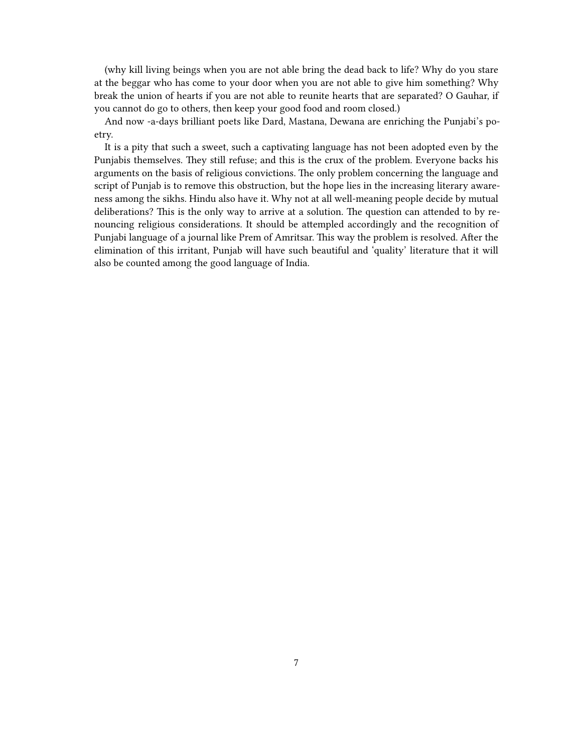(why kill living beings when you are not able bring the dead back to life? Why do you stare at the beggar who has come to your door when you are not able to give him something? Why break the union of hearts if you are not able to reunite hearts that are separated? O Gauhar, if you cannot do go to others, then keep your good food and room closed.)

And now -a-days brilliant poets like Dard, Mastana, Dewana are enriching the Punjabi's poetry.

It is a pity that such a sweet, such a captivating language has not been adopted even by the Punjabis themselves. They still refuse; and this is the crux of the problem. Everyone backs his arguments on the basis of religious convictions. The only problem concerning the language and script of Punjab is to remove this obstruction, but the hope lies in the increasing literary awareness among the sikhs. Hindu also have it. Why not at all well-meaning people decide by mutual deliberations? This is the only way to arrive at a solution. The question can attended to by renouncing religious considerations. It should be attempled accordingly and the recognition of Punjabi language of a journal like Prem of Amritsar. This way the problem is resolved. After the elimination of this irritant, Punjab will have such beautiful and 'quality' literature that it will also be counted among the good language of India.